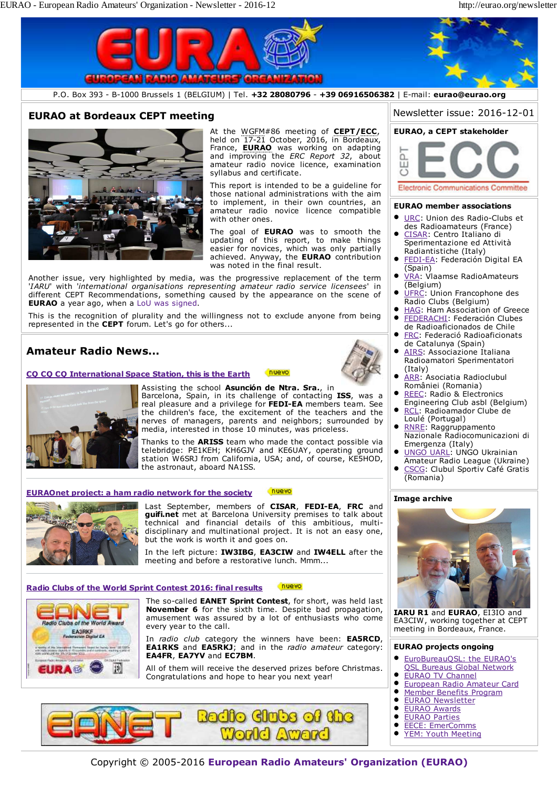

All of them will receive the deserved prizes before Christmas. Congratulations and hope to hear you next year!



10

**EURA®** 

- EuroBureauQSL: the EURAO's QSL Bureaus Global Network
- EURAO TV Channel
- 
- European Radio Amateur Card Member Benefits Program
- $\bullet$ EURAO Newsletter
- $\bullet$ EURAO Awards
- $\bullet$ EURAO Parties
- $\bullet$ EECE: EmerComms
- YEM: Youth Meeting
-